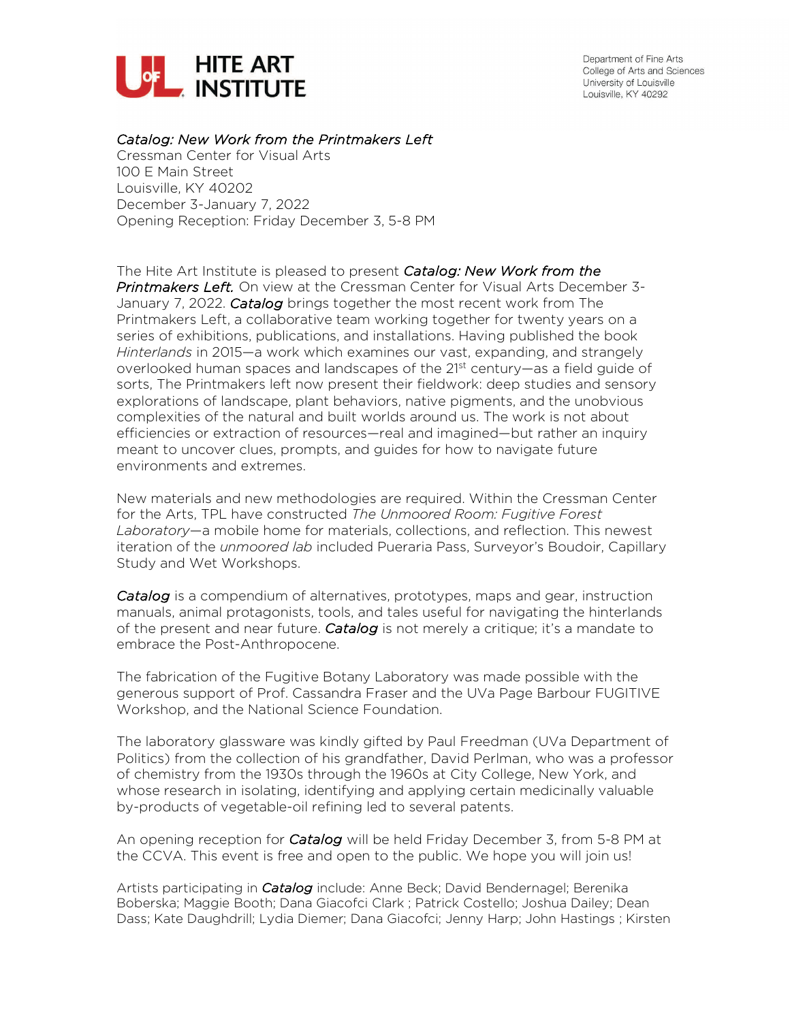

Department of Fine Arts College of Arts and Sciences University of Louisville Louisville, KY 40292

## *Catalog: New Work from the Printmakers Left*

Cressman Center for Visual Arts 100 E Main Street Louisville, KY 40202 December 3-January 7, 2022 Opening Reception: Friday December 3, 5-8 PM

The Hite Art Institute is pleased to present *Catalog: New Work from the Printmakers Left.* On view at the Cressman Center for Visual Arts December 3- January 7, 2022. *Catalog* brings together the most recent work from The Printmakers Left, a collaborative team working together for twenty years on a series of exhibitions, publications, and installations. Having published the book *Hinterlands* in 2015—a work which examines our vast, expanding, and strangely overlooked human spaces and landscapes of the 21<sup>st</sup> century—as a field guide of sorts, The Printmakers left now present their fieldwork: deep studies and sensory explorations of landscape, plant behaviors, native pigments, and the unobvious complexities of the natural and built worlds around us. The work is not about efficiencies or extraction of resources—real and imagined—but rather an inquiry meant to uncover clues, prompts, and guides for how to navigate future environments and extremes.

New materials and new methodologies are required. Within the Cressman Center for the Arts, TPL have constructed *The Unmoored Room: Fugitive Forest Laboratory*—a mobile home for materials, collections, and reflection. This newest iteration of the *unmoored lab* included Pueraria Pass, Surveyor's Boudoir, Capillary Study and Wet Workshops.

*Catalog* is a compendium of alternatives, prototypes, maps and gear, instruction manuals, animal protagonists, tools, and tales useful for navigating the hinterlands of the present and near future. *Catalog* is not merely a critique; it's a mandate to embrace the Post-Anthropocene.

The fabrication of the Fugitive Botany Laboratory was made possible with the generous support of Prof. Cassandra Fraser and the UVa Page Barbour FUGITIVE Workshop, and the National Science Foundation.

The laboratory glassware was kindly gifted by Paul Freedman (UVa Department of Politics) from the collection of his grandfather, David Perlman, who was a professor of chemistry from the 1930s through the 1960s at City College, New York, and whose research in isolating, identifying and applying certain medicinally valuable by-products of vegetable-oil refining led to several patents.

An opening reception for *Catalog* will be held Friday December 3, from 5-8 PM at the CCVA. This event is free and open to the public. We hope you will join us!

Artists participating in *Catalog* include: Anne Beck; David Bendernagel; Berenika Boberska; Maggie Booth; Dana Giacofci Clark ; Patrick Costello; Joshua Dailey; Dean Dass; Kate Daughdrill; Lydia Diemer; Dana Giacofci; Jenny Harp; John Hastings ; Kirsten